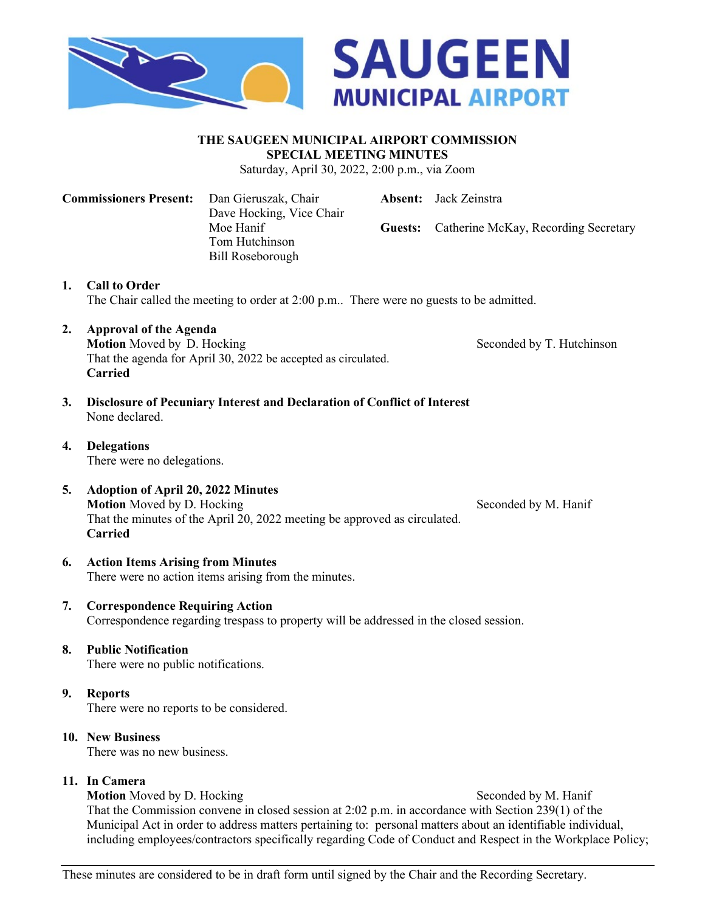



#### **THE SAUGEEN MUNICIPAL AIRPORT COMMISSION SPECIAL MEETING MINUTES**

Saturday, April 30, 2022, 2:00 p.m., via Zoom

**Commissioners Present:** Dan Gieruszak, Chair **Absent:** Jack Zeinstra Dave Hocking, Vice Chair Moe Hanif **Guests:** Catherine McKay, Recording Secretary Tom Hutchinson Bill Roseborough

**1. Call to Order** The Chair called the meeting to order at 2:00 p.m.. There were no guests to be admitted.

**2. Approval of the Agenda**

**Motion** Moved by D. Hocking Seconded by T. Hutchinson That the agenda for April 30, 2022 be accepted as circulated. **Carried**

- **3. Disclosure of Pecuniary Interest and Declaration of Conflict of Interest** None declared.
- **4. Delegations** There were no delegations.
- **5. Adoption of April 20, 2022 Minutes Motion** Moved by D. Hocking Seconded by M. Hanif That the minutes of the April 20, 2022 meeting be approved as circulated. **Carried**

#### **6. Action Items Arising from Minutes** There were no action items arising from the minutes.

**7. Correspondence Requiring Action** Correspondence regarding trespass to property will be addressed in the closed session.

# **8. Public Notification**

There were no public notifications.

# **9. Reports**

There were no reports to be considered.

## **10. New Business**

There was no new business.

# **11. In Camera**

**Motion** Moved by D. Hocking Seconded by M. Hanif

That the Commission convene in closed session at 2:02 p.m. in accordance with Section 239(1) of the Municipal Act in order to address matters pertaining to: personal matters about an identifiable individual, including employees/contractors specifically regarding Code of Conduct and Respect in the Workplace Policy;